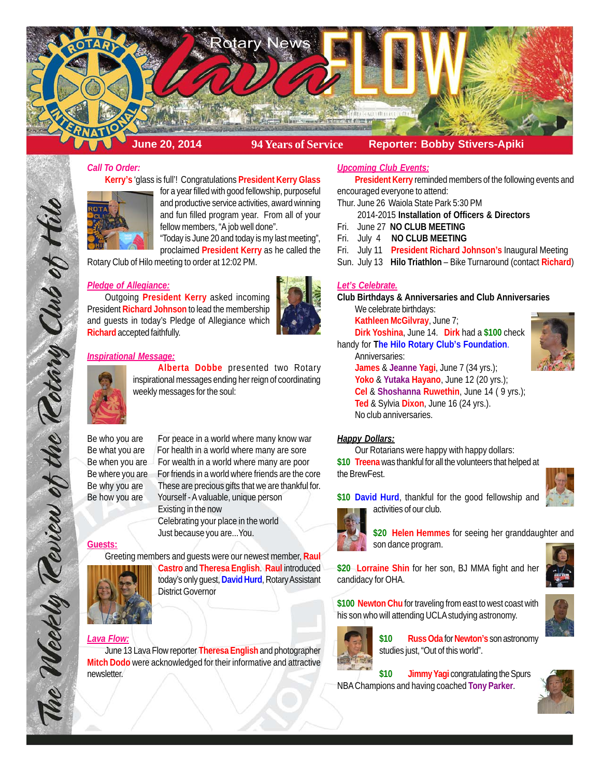

# *Call To Order:*

**Kerry's** 'glass is full'! Congratulations **President Kerry Glass**



for a year filled with good fellowship, purposeful and productive service activities, award winning and fun filled program year. From all of your fellow members, "A job well done".

"Today is June 20 and today is my last meeting", proclaimed **President Kerry** as he called the

Rotary Club of Hilo meeting to order at 12:02 PM.

### *Pledge of Allegiance:*

Outgoing **President Kerry** asked incoming President **Richard Johnson** to lead the membership and guests in today's Pledge of Allegiance which **Richard** accepted faithfully.

# *Inspirational Message:*



**Alberta Dobbe** presented two Rotary inspirational messages ending her reign of coordinating weekly messages for the soul:

Be who you are For peace in a world where many know war Be what you are For health in a world where many are sore Be when you are For wealth in a world where many are poor Be where you are For friends in a world where friends are the core Be why you are These are precious gifts that we are thankful for. Be how you are Yourself - A valuable, unique person Existing in the now Celebrating your place in the world Just because you are...You.

**Guests:**

The Weekly Teview of the Tetary Club of Hil

Greeting members and guests were our newest member, **Raul**



**Castro** and **Theresa English**. **Raul** introduced today's only guest, **David Hurd**, Rotary Assistant District Governor

### *Lava Flow:*

June 13 Lava Flow reporter **Theresa English** and photographer **Mitch Dodo** were acknowledged for their informative and attractive newsletter.

### *Upcoming Club Events:*

**President Kerry** reminded members of the following events and encouraged everyone to attend:

- Thur. June 26 Waiola State Park 5:30 PM
	- 2014-2015 **Installation of Officers & Directors**
- Fri. June 27 **NO CLUB MEETING**
- Fri. July 4 **NO CLUB MEETING**
- Fri. July 11 **President Richard Johnson's** Inaugural Meeting
- Sun. July 13 **Hilo Triathlon** Bike Turnaround (contact **Richard**)

#### *Let's Celebrate.*

**Club Birthdays & Anniversaries and Club Anniversaries** We celebrate birthdays:

**Kathleen McGilvray**, June 7; **Dirk Yoshina**, June 14. **Dirk** had a **\$100** check handy for **The Hilo Rotary Club's Foundation**.

Anniversaries:

**James** & **Jeanne Yagi**, June 7 (34 yrs.); **Yoko** & **Yutaka Hayano**, June 12 (20 yrs.); **Cel** & **Shoshanna Ruwethin**, June 14 ( 9 yrs.); **Ted** & Sylvia **Dixon**, June 16 (24 yrs.). No club anniversaries.

#### *Happy Dollars:*

Our Rotarians were happy with happy dollars:

**\$10 Treena** was thankful for all the volunteers that helped at the BrewFest.





**\$20 Helen Hemmes** for seeing her granddaughter and son dance program.

**\$20 Lorraine Shin** for her son, BJ MMA fight and her candidacy for OHA.

**\$100 Newton Chu** for traveling from east to west coast with his son who will attending UCLA studying astronomy.



**\$10 Russ Oda** for **Newton's** son astronomy studies just, "Out of this world".

\$10 **Jimmy Yagi** congratulating the Spurs NBA Champions and having coached **Tony Parker**.